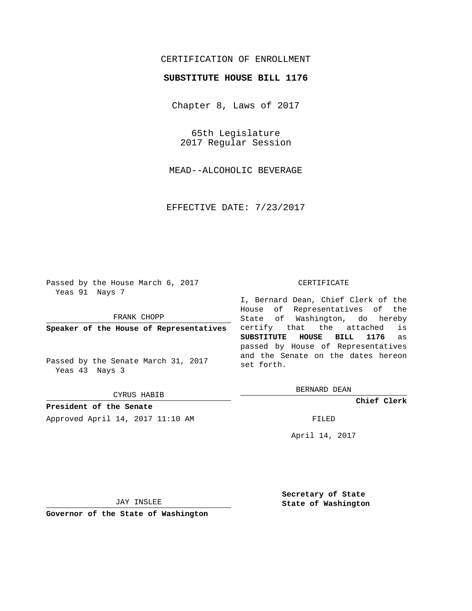## CERTIFICATION OF ENROLLMENT

## **SUBSTITUTE HOUSE BILL 1176**

Chapter 8, Laws of 2017

65th Legislature 2017 Regular Session

MEAD--ALCOHOLIC BEVERAGE

EFFECTIVE DATE: 7/23/2017

Passed by the House March 6, 2017 Yeas 91 Nays 7

FRANK CHOPP

**Speaker of the House of Representatives**

Passed by the Senate March 31, 2017 Yeas 43 Nays 3

CYRUS HABIB

**President of the Senate** Approved April 14, 2017 11:10 AM FILED

## CERTIFICATE

I, Bernard Dean, Chief Clerk of the House of Representatives of the State of Washington, do hereby certify that the attached is **SUBSTITUTE HOUSE BILL 1176** as passed by House of Representatives and the Senate on the dates hereon set forth.

BERNARD DEAN

**Chief Clerk**

April 14, 2017

JAY INSLEE

**Governor of the State of Washington**

**Secretary of State State of Washington**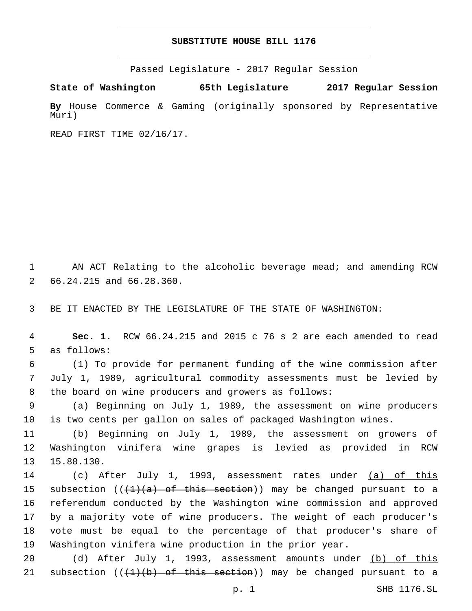## **SUBSTITUTE HOUSE BILL 1176**

Passed Legislature - 2017 Regular Session

**State of Washington 65th Legislature 2017 Regular Session**

**By** House Commerce & Gaming (originally sponsored by Representative Muri)

READ FIRST TIME 02/16/17.

1 AN ACT Relating to the alcoholic beverage mead; and amending RCW 2 66.24.215 and 66.28.360.

3 BE IT ENACTED BY THE LEGISLATURE OF THE STATE OF WASHINGTON:

4 **Sec. 1.** RCW 66.24.215 and 2015 c 76 s 2 are each amended to read 5 as follows:

6 (1) To provide for permanent funding of the wine commission after 7 July 1, 1989, agricultural commodity assessments must be levied by 8 the board on wine producers and growers as follows:

9 (a) Beginning on July 1, 1989, the assessment on wine producers 10 is two cents per gallon on sales of packaged Washington wines.

11 (b) Beginning on July 1, 1989, the assessment on growers of 12 Washington vinifera wine grapes is levied as provided in RCW 13.88.130.

 (c) After July 1, 1993, assessment rates under (a) of this 15 subsection ( $(\frac{1}{4})$  (a) of this section)) may be changed pursuant to a referendum conducted by the Washington wine commission and approved by a majority vote of wine producers. The weight of each producer's vote must be equal to the percentage of that producer's share of Washington vinifera wine production in the prior year.

20 (d) After July 1, 1993, assessment amounts under (b) of this 21 subsection  $((1+(b)$  of this section)) may be changed pursuant to a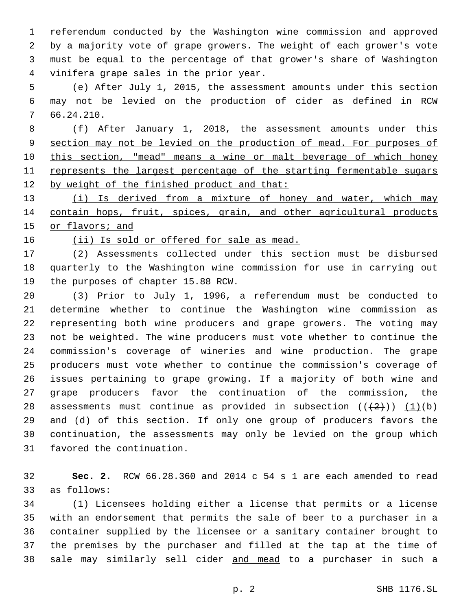referendum conducted by the Washington wine commission and approved by a majority vote of grape growers. The weight of each grower's vote must be equal to the percentage of that grower's share of Washington vinifera grape sales in the prior year.4

 (e) After July 1, 2015, the assessment amounts under this section may not be levied on the production of cider as defined in RCW 66.24.210.7

 (f) After January 1, 2018, the assessment amounts under this section may not be levied on the production of mead. For purposes of this section, "mead" means a wine or malt beverage of which honey 11 represents the largest percentage of the starting fermentable sugars by weight of the finished product and that:

13 (i) Is derived from a mixture of honey and water, which may 14 contain hops, fruit, spices, grain, and other agricultural products or flavors; and

16 (ii) Is sold or offered for sale as mead.

 (2) Assessments collected under this section must be disbursed quarterly to the Washington wine commission for use in carrying out 19 the purposes of chapter 15.88 RCW.

 (3) Prior to July 1, 1996, a referendum must be conducted to determine whether to continue the Washington wine commission as representing both wine producers and grape growers. The voting may not be weighted. The wine producers must vote whether to continue the commission's coverage of wineries and wine production. The grape producers must vote whether to continue the commission's coverage of issues pertaining to grape growing. If a majority of both wine and grape producers favor the continuation of the commission, the 28 assessments must continue as provided in subsection  $((+2))$   $(1)(b)$  and (d) of this section. If only one group of producers favors the continuation, the assessments may only be levied on the group which 31 favored the continuation.

 **Sec. 2.** RCW 66.28.360 and 2014 c 54 s 1 are each amended to read 33 as follows:

 (1) Licensees holding either a license that permits or a license with an endorsement that permits the sale of beer to a purchaser in a container supplied by the licensee or a sanitary container brought to the premises by the purchaser and filled at the tap at the time of sale may similarly sell cider and mead to a purchaser in such a